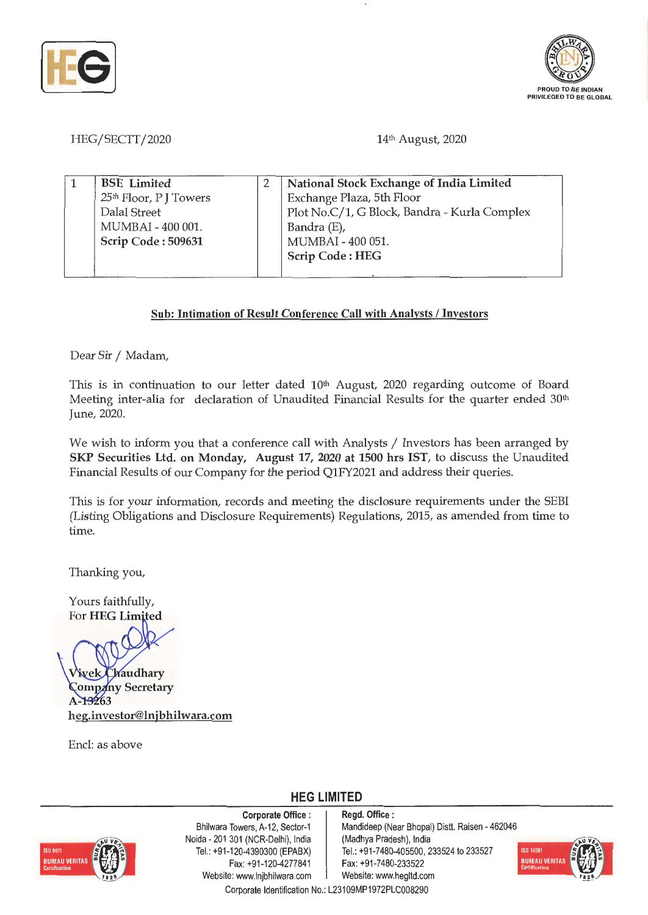



HEG/SECTT/2020

14th August, 2020

| <b>BSE</b> Limited                 | National Stock Exchange of India Limited     |
|------------------------------------|----------------------------------------------|
| 25 <sup>th</sup> Floor, P J Towers | Exchange Plaza, 5th Floor                    |
| Dalal Street                       | Plot No.C/1, G Block, Bandra - Kurla Complex |
| MUMBAI - 400 001.                  | Bandra (E),                                  |
| Scrip Code: 509631                 | MUMBAI - 400 051.                            |
|                                    | <b>Scrip Code: HEG</b>                       |
|                                    |                                              |

## **Sub: Intimation of Result Conference Call with Analysts** I **Investors**

Dear Sir / Madam,

This is in continuation to our letter dated 10<sup>th</sup> August, 2020 regarding outcome of Board Meeting inter-alia for declaration of Unaudited Financial Results for the quarter ended  $30<sup>th</sup>$ June, 2020.

We wish to inform you that a conference call with Analysts / Investors has been arranged by **SKP Securities Ltd. on Monday, August 17, 2020 at 1500 hrs IST,** to discuss the Unaudited Financial Results of our Company for the period Q1FY2021 and address their queries.

This is for your information, records and meeting the disclosure requirements under the SEBI (Listing Obligations and Disclosure Requirements) Regulations, 2015, as amended from time to time.

Thanking you,

Yours faithfully, For HEG Limited



**Zompany Secretary 63 heg.investor@lnjbhilwara.com** 

Encl: as above

**HEG LIMITED** 



**Corporate Office** : Bhilwara Towers, A-12, Sector-1 Neida - 201 301 (NCR-Delhi), India Tel.: +91 -120-4390300 (EPABX) Fax: +91-120-4277841 Website: www.lnjbhilwara.com | Website: www.hegltd.com

**Regd. Office** : Mandideep (Near Bhopal) Distt. Raisen - 462046 (Madhya Pradesh), India Tel. : +91-7480-405500, 233524 to 233527 Fax: +91-7480-233522